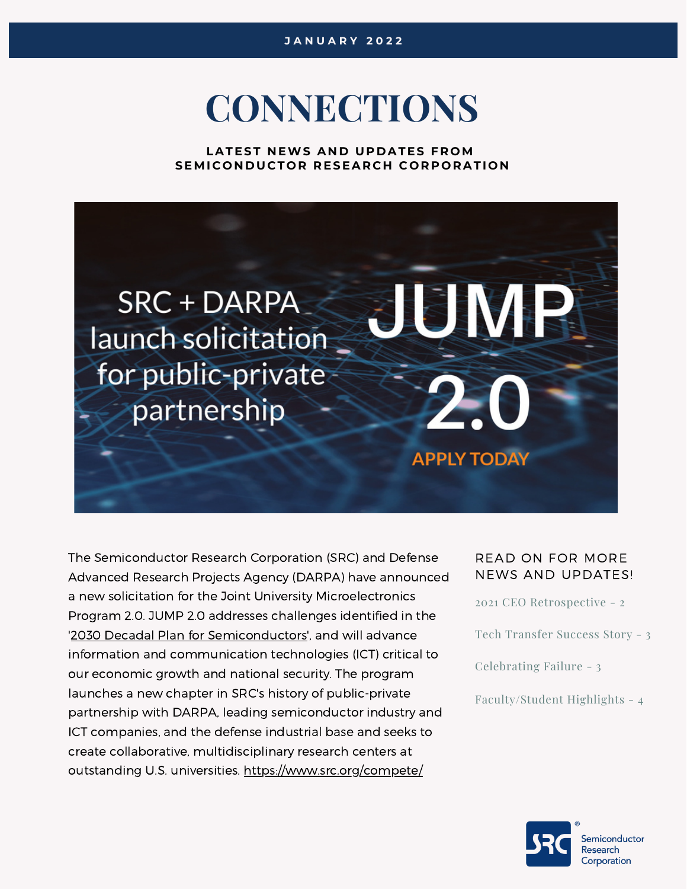# **CONNECTIONS**

**LATEST N EWS A N D UP D ATES F R OM SEMI C O N D UC T O R R ESEAR C H C O R P O RATI O N**



The [Semiconductor](https://www.linkedin.com/company/semiconductor-research-corporation/) Research Corporation (SRC) and Defense Advanced Research Projects Agency (DARPA) have announced a new solicitation for the Joint University Microelectronics Program 2.0. JUMP 2.0 addresses challenges identified in the '2030 Decadal Plan for [Semiconductors](https://www.src.org/decadalplan)', and will advance information and communication technologies (ICT) critical to our economic growth and national security. The program launches a new chapter in SRC's history of public-private partnership with DARPA, leading semiconductor industry and ICT companies, and the defense industrial base and seeks to create collaborative, multidisciplinary research centers at outstanding U.S. universities. <https://www.src.org/compete/>

#### READ ON FOR MORE NEWS AND UPDATES!

2021 CEO [Retrospective](#page-1-0) - 2

Tech [Transfer](#page-2-0) Success Story [-](#page-2-0) 3

[Celebrating](#page-2-0) Failure - 3

[Faculty/Student](#page-3-0) Highlights - 4



iemiconductor Research Corporation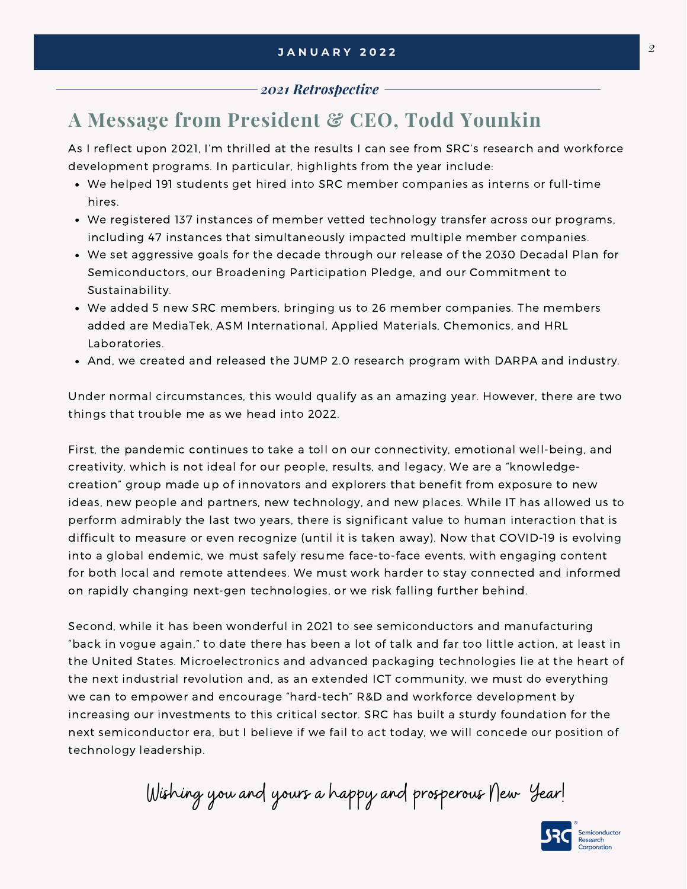#### *2021 Retrospective*

## **A Message from President & CEO, Todd Younkin**

<span id="page-1-0"></span>*Awards and Recognition*

As I reflect upon 2021, I'm thrilled at the results I can see from SRC's research and workforce development programs. In particular, highlights from the year include:

- We helped 191 students get hired into SRC member companies as interns or full-time hires.
- We registered 137 instances of member vetted technology transfer across our programs, including 47 instances that simultaneously impacted multiple member companies.
- We set aggressive goals for the decade through our release of the 2030 Decadal Plan for [Semiconductors,](https://www.src.org/about/decadal-plan/) our Broadening [Participation](https://www.src.org/about/broadening-participation/) Pledge, and our Commitment to Sustainability.
- We added 5 new SRC members, bringing us to 26 member companies. The members added are MediaTek, ASM International, Applied Materials, Chemonics, and HRL Laboratories.
- And, we created and released the JUMP 2.0 research [program](https://www.darpa.mil/news-events/2021-12-22) with DARPA and industry.

Under normal circumstances, this would qualify as an amazing year. However, there are two things that trouble me as we head into 2022.

First, the pandemic continues to take a toll on our connectivity, emotional well-being, and creativity, which is not ideal for our people, results, and legacy. We are a "knowledgecreation" group made up of innovators and explorers that benefit from exposure to new ideas, new people and partners, new technology, and new places. While IT has allowed us to perform admirably the last two years, there is significant value to human interaction that is difficult to measure or even recognize (until it is taken away). Now that COVID-19 is evolving into a global endemic, we must safely resume face-to-face events, with engaging content for both local and remote attendees. We must work harder to stay connected and informed on rapidly changing next-gen technologies, or we risk falling further behind.

Second, while it has been wonderful in 2021 to see semiconductors and manufacturing "back in vogue again," to date there has been a lot of talk and far too little action, at least in the United States. Microelectronics and advanced packaging technologies lie at the heart of the next industrial revolution and, as an extended ICT community, we must do everything we can to empower and encourage "hard-tech" R&D and workforce development by increasing our investments to this critical sector. SRC has built a sturdy foundation for the next semiconductor era, but I believe if we fail to act today, we will concede our position of technology leadership.

Wishing you and yours a happy and prosperous New Year!

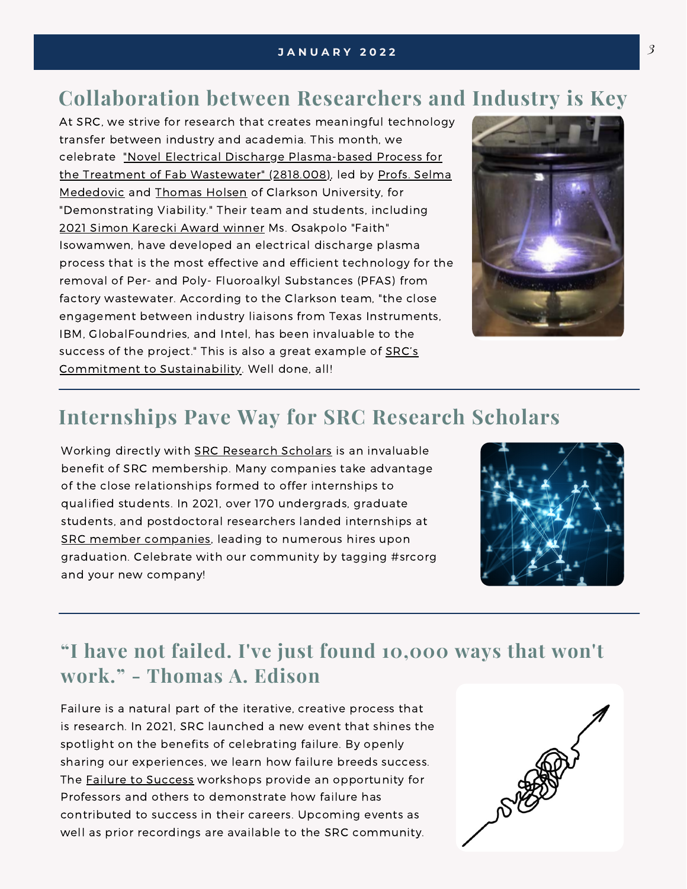## **Collaboration between Researchers and Industry is Key**

At SRC, we strive for research that creates meaningful technology transfer between industry and academia. This month, we celebrate "Novel Electrical Discharge [Plasma-based](https://www.src.org/library/research-catalog/2818.008/) Process for the Treatment of Fab [Wastewater"](https://www.clarkson.edu/people/selma-mededovic) (2818.008), led by Profs. Selma Mededovic and [Thomas](https://www.clarkson.edu/people/thomas-holsen) Holsen of Clarkson University, for "Demonstrating Viability." Their team and students, including 2021 Simon [Karecki](https://www.src.org/newsroom/article/2021/1026/) Award winner Ms. Osakpolo "Faith" Isowamwen, have developed an electrical discharge plasma process that is the most effective and efficient technology for the removal of Per- and Poly- Fluoroalkyl Substances (PFAS) from factory wastewater. According to the Clarkson team, "the close engagement between industry liaisons from Texas Instruments, IBM, GlobalFoundries, and Intel, has been invaluable to the success of the project." This is also a great example of SRC's Commitment to [Sustainability.](https://www.src.org/about/sustainability/) Well done, all!

<span id="page-2-0"></span>*Awards and Recognition*



#### **Internships Pave Way for SRC Research Scholars**

Working directly with SRC [Research](https://www.src.org/student-center/handbook/linkedin/) Scholars is an invaluable benefit of SRC membership. Many companies take advantage of the close relationships formed to offer internships to qualified students. In 2021, over 170 undergrads, graduate students, and postdoctoral researchers landed internships at SRC member [companies](https://www.src.org/src/member/roster/), leading to numerous hires upon graduation. Celebrate with our community by tagging #srcorg and your new company!



#### **"I have not failed. I've just found 10,000 ways that won't work." - [Thomas](https://awards.acm.org/award_winners/martonosi_4125274) A. Edison**

Failure is a natural part of the iterative, creative process that is research. In 2021, SRC launched a new event that shines the spotlight on the benefits of celebrating failure. By openly sharing our experiences, we learn how failure breeds success. The Failure to [Success](https://www.src.org/calendar/failure-to-success/) workshops provide an opportunity for Professors and others to demonstrate how failure has contributed to success in their careers. Upcoming events as well as prior recordings are available to the SRC community.